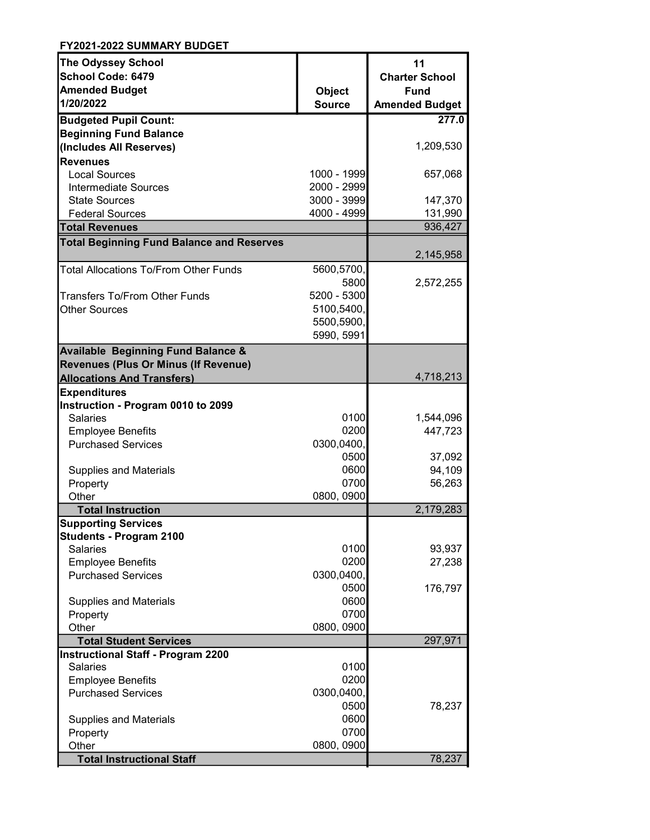| <b>The Odyssey School</b>                        |               | 11                    |
|--------------------------------------------------|---------------|-----------------------|
| <b>School Code: 6479</b>                         |               | <b>Charter School</b> |
| <b>Amended Budget</b>                            | <b>Object</b> | <b>Fund</b>           |
| 1/20/2022                                        | <b>Source</b> | <b>Amended Budget</b> |
| <b>Budgeted Pupil Count:</b>                     |               | 277.0                 |
| <b>Beginning Fund Balance</b>                    |               |                       |
| (Includes All Reserves)                          |               | 1,209,530             |
| <b>Revenues</b>                                  |               |                       |
| <b>Local Sources</b>                             | 1000 - 1999   | 657,068               |
| <b>Intermediate Sources</b>                      | 2000 - 2999   |                       |
| <b>State Sources</b>                             | 3000 - 3999   | 147,370               |
| <b>Federal Sources</b>                           | 4000 - 4999   | 131,990               |
| <b>Total Revenues</b>                            |               | 936,427               |
| <b>Total Beginning Fund Balance and Reserves</b> |               |                       |
|                                                  |               | 2,145,958             |
| Total Allocations To/From Other Funds            | 5600,5700,    |                       |
|                                                  | 5800          | 2,572,255             |
| <b>Transfers To/From Other Funds</b>             | 5200 - 5300   |                       |
| <b>Other Sources</b>                             | 5100,5400,    |                       |
|                                                  | 5500,5900,    |                       |
|                                                  | 5990, 5991    |                       |
| <b>Available Beginning Fund Balance &amp;</b>    |               |                       |
| <b>Revenues (Plus Or Minus (If Revenue)</b>      |               |                       |
| <b>Allocations And Transfers)</b>                |               | 4,718,213             |
| <b>Expenditures</b>                              |               |                       |
| Instruction - Program 0010 to 2099               |               |                       |
| <b>Salaries</b>                                  | 0100          | 1,544,096             |
| <b>Employee Benefits</b>                         | 0200          | 447,723               |
| <b>Purchased Services</b>                        | 0300,0400,    |                       |
|                                                  | 0500          | 37,092                |
| <b>Supplies and Materials</b>                    | 0600          | 94,109                |
| Property                                         | 0700          | 56,263                |
| Other                                            | 0800, 0900    |                       |
| <b>Total Instruction</b>                         |               | 2,179,283             |
| <b>Supporting Services</b>                       |               |                       |
| <b>Students - Program 2100</b>                   |               |                       |
| <b>Salaries</b>                                  | 0100          | 93,937                |
| <b>Employee Benefits</b>                         | 0200          | 27,238                |
| <b>Purchased Services</b>                        | 0300,0400,    |                       |
|                                                  | 0500          | 176,797               |
| <b>Supplies and Materials</b>                    | 0600          |                       |
| Property                                         | 0700          |                       |
| Other                                            | 0800, 0900    |                       |
| <b>Total Student Services</b>                    |               | 297,971               |
| <b>Instructional Staff - Program 2200</b>        |               |                       |
| <b>Salaries</b>                                  | 0100          |                       |
| <b>Employee Benefits</b>                         | 0200          |                       |
| <b>Purchased Services</b>                        | 0300,0400,    |                       |
|                                                  | 0500          | 78,237                |
| <b>Supplies and Materials</b>                    | 0600          |                       |
| Property                                         | 0700          |                       |
| Other                                            | 0800, 0900    |                       |
| <b>Total Instructional Staff</b>                 |               | 78,237                |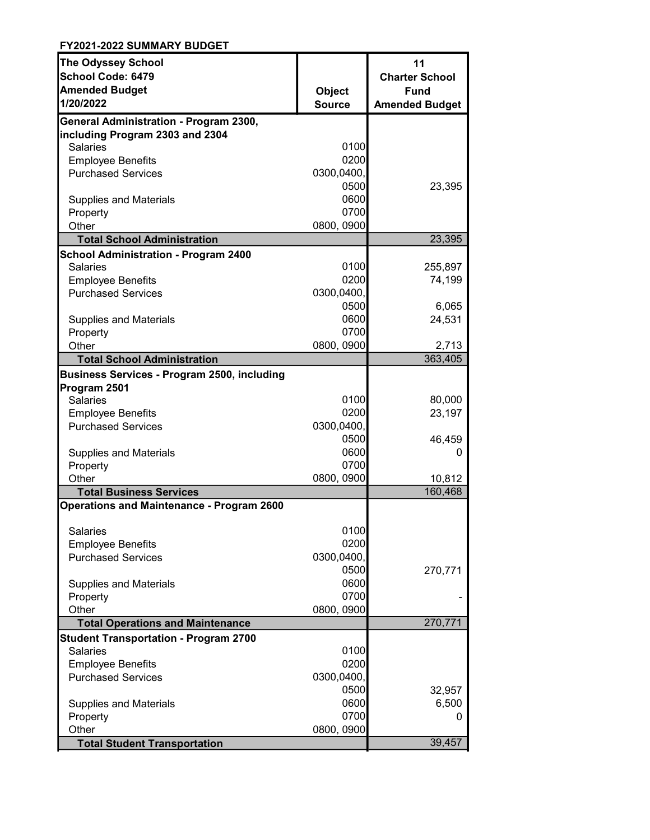| <b>The Odyssey School</b>                             |               | 11                    |
|-------------------------------------------------------|---------------|-----------------------|
| School Code: 6479                                     |               | <b>Charter School</b> |
| <b>Amended Budget</b>                                 | <b>Object</b> | <b>Fund</b>           |
| 1/20/2022                                             | <b>Source</b> | <b>Amended Budget</b> |
| General Administration - Program 2300,                |               |                       |
| including Program 2303 and 2304                       |               |                       |
| <b>Salaries</b>                                       | 0100          |                       |
| <b>Employee Benefits</b>                              | 0200          |                       |
| <b>Purchased Services</b>                             | 0300,0400,    |                       |
|                                                       | 0500          | 23,395                |
| <b>Supplies and Materials</b>                         | 0600          |                       |
| Property                                              | 0700          |                       |
| Other                                                 | 0800, 0900    |                       |
| <b>Total School Administration</b>                    |               | 23,395                |
| <b>School Administration - Program 2400</b>           |               |                       |
| <b>Salaries</b>                                       | 0100<br>0200  | 255,897               |
| <b>Employee Benefits</b><br><b>Purchased Services</b> | 0300,0400,    | 74,199                |
|                                                       | 0500          |                       |
| <b>Supplies and Materials</b>                         | 0600          | 6,065<br>24,531       |
| Property                                              | 0700          |                       |
| Other                                                 | 0800, 0900    | 2,713                 |
| <b>Total School Administration</b>                    |               | 363,405               |
| <b>Business Services - Program 2500, including</b>    |               |                       |
| Program 2501                                          |               |                       |
| Salaries                                              | 0100          | 80,000                |
| <b>Employee Benefits</b>                              | 0200          | 23,197                |
| <b>Purchased Services</b>                             | 0300,0400,    |                       |
|                                                       | 0500          | 46,459                |
| <b>Supplies and Materials</b>                         | 0600          | 0                     |
| Property                                              | 0700          |                       |
| Other                                                 | 0800, 0900    | 10,812                |
| <b>Total Business Services</b>                        |               | 160,468               |
| <b>Operations and Maintenance - Program 2600</b>      |               |                       |
| <b>Salaries</b>                                       | 0100          |                       |
| <b>Employee Benefits</b>                              | 0200          |                       |
| <b>Purchased Services</b>                             | 0300,0400,    |                       |
|                                                       | 0500          | 270,771               |
| <b>Supplies and Materials</b>                         | 0600          |                       |
| Property                                              | 0700          |                       |
| Other                                                 | 0800, 0900    |                       |
| <b>Total Operations and Maintenance</b>               |               | 270,771               |
| <b>Student Transportation - Program 2700</b>          |               |                       |
| <b>Salaries</b>                                       | 0100          |                       |
| <b>Employee Benefits</b>                              | 0200          |                       |
| <b>Purchased Services</b>                             | 0300,0400,    |                       |
|                                                       | 0500          | 32,957                |
| <b>Supplies and Materials</b>                         | 0600          | 6,500                 |
| Property                                              | 0700          | 0                     |
| Other                                                 | 0800, 0900    |                       |
| <b>Total Student Transportation</b>                   |               | 39,457                |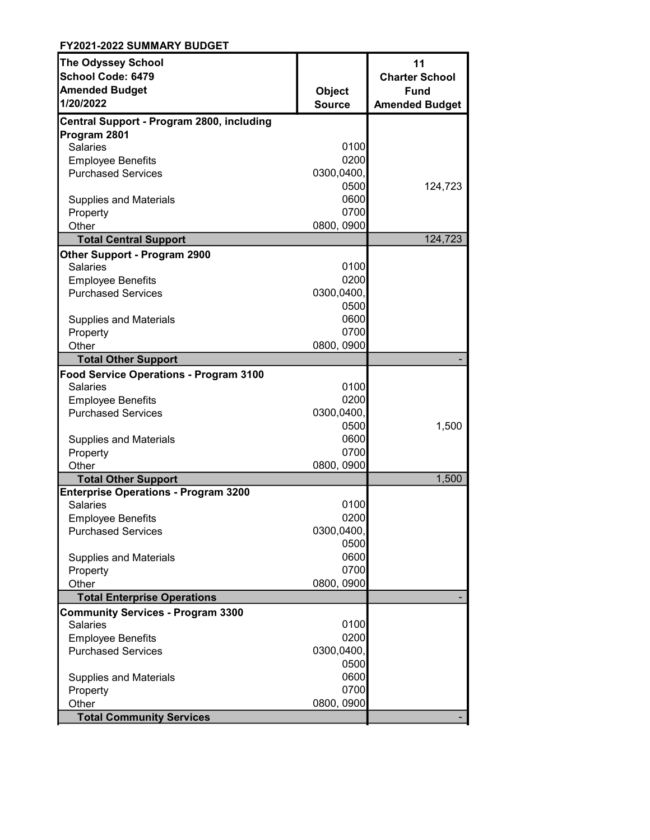| <b>The Odyssey School</b>                                 |                                | 11                    |
|-----------------------------------------------------------|--------------------------------|-----------------------|
| <b>School Code: 6479</b>                                  |                                | <b>Charter School</b> |
| <b>Amended Budget</b><br>1/20/2022                        | <b>Object</b><br><b>Source</b> | <b>Fund</b>           |
|                                                           |                                | <b>Amended Budget</b> |
| Central Support - Program 2800, including                 |                                |                       |
| Program 2801                                              |                                |                       |
| <b>Salaries</b>                                           | 0100                           |                       |
| <b>Employee Benefits</b>                                  | 0200                           |                       |
| <b>Purchased Services</b>                                 | 0300,0400,<br>0500             |                       |
|                                                           | 0600                           | 124,723               |
| <b>Supplies and Materials</b>                             | 0700                           |                       |
| Property<br>Other                                         | 0800, 0900                     |                       |
| <b>Total Central Support</b>                              |                                | 124,723               |
|                                                           |                                |                       |
| Other Support - Program 2900<br><b>Salaries</b>           | 0100                           |                       |
|                                                           | 0200                           |                       |
| <b>Employee Benefits</b><br><b>Purchased Services</b>     | 0300,0400,                     |                       |
|                                                           | 0500                           |                       |
|                                                           | 0600                           |                       |
| <b>Supplies and Materials</b><br>Property                 | 0700                           |                       |
| Other                                                     | 0800, 0900                     |                       |
| <b>Total Other Support</b>                                |                                |                       |
|                                                           |                                |                       |
| Food Service Operations - Program 3100<br><b>Salaries</b> | 0100                           |                       |
| <b>Employee Benefits</b>                                  | 0200                           |                       |
| <b>Purchased Services</b>                                 | 0300,0400,                     |                       |
|                                                           | 0500                           | 1,500                 |
| <b>Supplies and Materials</b>                             | 0600                           |                       |
| Property                                                  | 0700                           |                       |
| Other                                                     | 0800, 0900                     |                       |
| <b>Total Other Support</b>                                |                                | 1,500                 |
| <b>Enterprise Operations - Program 3200</b>               |                                |                       |
| <b>Salaries</b>                                           | 0100                           |                       |
| <b>Employee Benefits</b>                                  | 0200                           |                       |
| <b>Purchased Services</b>                                 | 0300,0400,                     |                       |
|                                                           | 0500                           |                       |
| <b>Supplies and Materials</b>                             | 0600                           |                       |
| Property                                                  | 0700                           |                       |
| Other                                                     | 0800, 0900                     |                       |
| <b>Total Enterprise Operations</b>                        |                                |                       |
| <b>Community Services - Program 3300</b>                  |                                |                       |
| <b>Salaries</b>                                           | 0100                           |                       |
| <b>Employee Benefits</b>                                  | 0200                           |                       |
| <b>Purchased Services</b>                                 | 0300,0400,                     |                       |
|                                                           | 0500                           |                       |
| <b>Supplies and Materials</b>                             | 0600                           |                       |
| Property                                                  | 0700                           |                       |
| Other                                                     | 0800, 0900                     |                       |
| <b>Total Community Services</b>                           |                                |                       |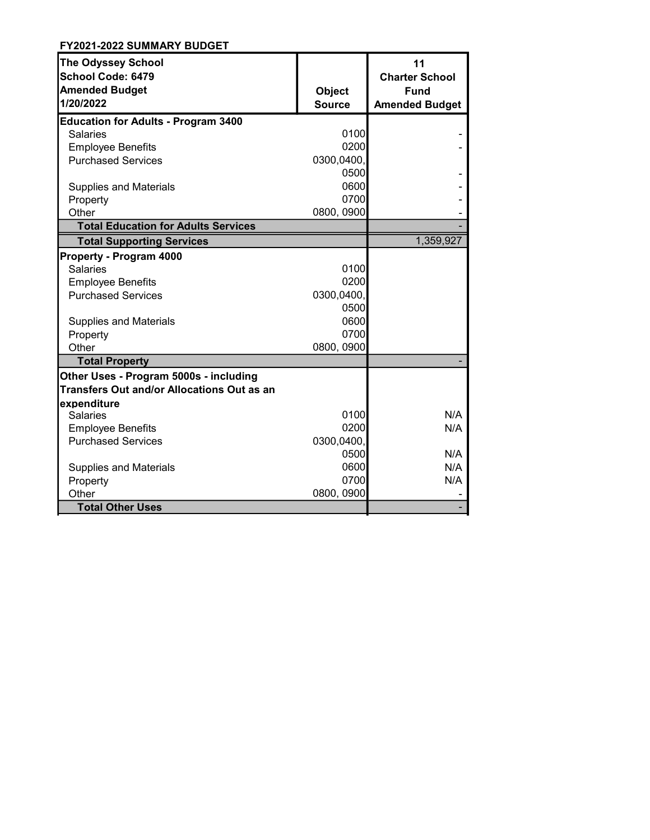| <b>The Odyssey School</b><br><b>School Code: 6479</b> |               | 11<br><b>Charter School</b> |
|-------------------------------------------------------|---------------|-----------------------------|
| <b>Amended Budget</b>                                 | <b>Object</b> | <b>Fund</b>                 |
| 1/20/2022                                             | <b>Source</b> | <b>Amended Budget</b>       |
|                                                       |               |                             |
| <b>Education for Adults - Program 3400</b>            |               |                             |
| Salaries                                              | 0100          |                             |
| <b>Employee Benefits</b>                              | 0200          |                             |
| <b>Purchased Services</b>                             | 0300,0400,    |                             |
|                                                       | 0500          |                             |
| <b>Supplies and Materials</b>                         | 0600          |                             |
| Property                                              | 0700          |                             |
| Other                                                 | 0800, 0900    |                             |
| <b>Total Education for Adults Services</b>            |               |                             |
| <b>Total Supporting Services</b>                      |               | 1,359,927                   |
| Property - Program 4000                               |               |                             |
| <b>Salaries</b>                                       | 0100          |                             |
| <b>Employee Benefits</b>                              | 0200          |                             |
| <b>Purchased Services</b>                             | 0300,0400,    |                             |
|                                                       | 0500          |                             |
| <b>Supplies and Materials</b>                         | 0600          |                             |
| Property                                              | 0700          |                             |
| Other                                                 | 0800, 0900    |                             |
| <b>Total Property</b>                                 |               |                             |
| Other Uses - Program 5000s - including                |               |                             |
| <b>Transfers Out and/or Allocations Out as an</b>     |               |                             |
| expenditure                                           |               |                             |
| <b>Salaries</b>                                       | 0100          | N/A                         |
| <b>Employee Benefits</b>                              | 0200          | N/A                         |
| <b>Purchased Services</b>                             | 0300,0400,    |                             |
|                                                       | 0500          | N/A                         |
| <b>Supplies and Materials</b>                         | 0600          | N/A                         |
| Property                                              | 0700          | N/A                         |
| Other                                                 | 0800, 0900    |                             |
| <b>Total Other Uses</b>                               |               |                             |